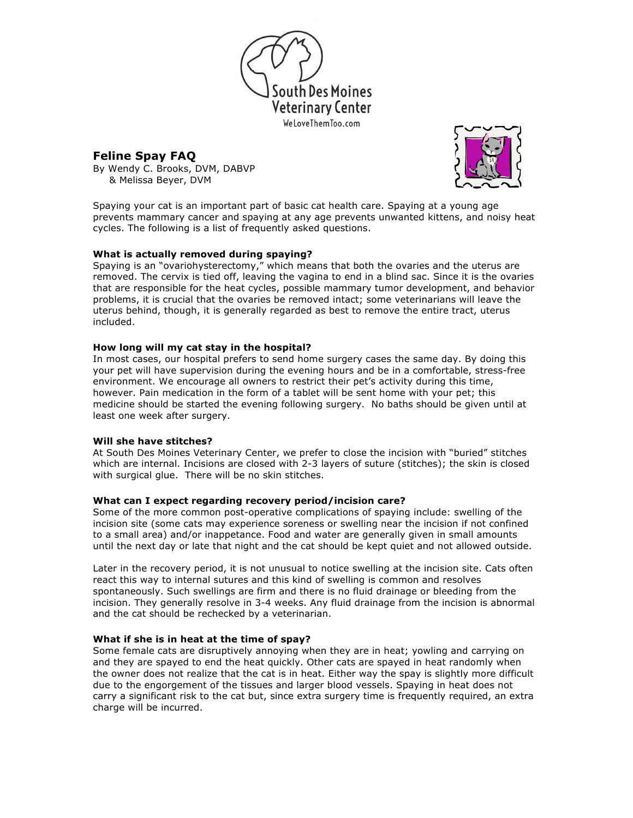

# **Feline Spay FAQ**

By Wendy C. Brooks, DVM, DABVP & Melissa Beyer, DVM



Spaying your cat is an important part of basic cat health care. Spaying at a young age prevents mammary cancer and spaying at any age prevents unwanted kittens, and noisy heat cycles. The following is a list of frequently asked questions.

# **What is actually removed during spaying?**

Spaying is an "ovariohysterectomy," which means that both the ovaries and the uterus are removed. The cervix is tied off, leaving the vagina to end in a blind sac. Since it is the ovaries that are responsible for the heat cycles, possible mammary tumor development, and behavior problems, it is crucial that the ovaries be removed intact; some veterinarians will leave the uterus behind, though, it is generally regarded as best to remove the entire tract, uterus included.

# **How long will my cat stay in the hospital?**

In most cases, our hospital prefers to send home surgery cases the same day. By doing this your pet will have supervision during the evening hours and be in a comfortable, stress-free environment. We encourage all owners to restrict their pet's activity during this time, however. Pain medication in the form of a tablet will be sent home with your pet; this medicine should be started the evening following surgery. No baths should be given until at least one week after surgery.

# **Will she have stitches?**

At South Des Moines Veterinary Center, we prefer to close the incision with "buried" stitches which are internal. Incisions are closed with 2-3 layers of suture (stitches); the skin is closed with surgical glue. There will be no skin stitches.

# **What can I expect regarding recovery period/incision care?**

Some of the more common post-operative complications of spaying include: swelling of the incision site (some cats may experience soreness or swelling near the incision if not confined to a small area) and/or inappetance. Food and water are generally given in small amounts until the next day or late that night and the cat should be kept quiet and not allowed outside.

Later in the recovery period, it is not unusual to notice swelling at the incision site. Cats often react this way to internal sutures and this kind of swelling is common and resolves spontaneously. Such swellings are firm and there is no fluid drainage or bleeding from the incision. They generally resolve in 3-4 weeks. Any fluid drainage from the incision is abnormal and the cat should be rechecked by a veterinarian.

# **What if she is in heat at the time of spay?**

Some female cats are disruptively annoying when they are in heat; yowling and carrying on and they are spayed to end the heat quickly. Other cats are spayed in heat randomly when the owner does not realize that the cat is in heat. Either way the spay is slightly more difficult due to the engorgement of the tissues and larger blood vessels. Spaying in heat does not carry a significant risk to the cat but, since extra surgery time is frequently required, an extra charge will be incurred.